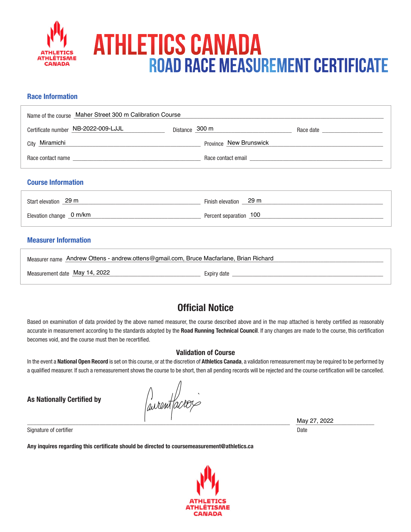

# Athletics Canada Road Race Measurement Certificate

## **Race Information**

| Name of the course Maher Street 300 m Calibration Course                                                                                                                                                                       |                        |  |  |
|--------------------------------------------------------------------------------------------------------------------------------------------------------------------------------------------------------------------------------|------------------------|--|--|
| Certificate number NB-2022-009-LJJL                                                                                                                                                                                            | Distance 300 m         |  |  |
| City Miramichi                                                                                                                                                                                                                 | Province New Brunswick |  |  |
| Race contact name and the state of the state of the state of the state of the state of the state of the state of the state of the state of the state of the state of the state of the state of the state of the state of the s |                        |  |  |
|                                                                                                                                                                                                                                |                        |  |  |

## **Course Information**

| Start elevation 29 m     | Finish elevation 29 m  |
|--------------------------|------------------------|
| Elevation change _0 m/km | Percent separation 100 |

## **Measurer Information**

| Measurer name Andrew Ottens - andrew.ottens@gmail.com, Bruce Macfarlane, Brian Richard |             |  |
|----------------------------------------------------------------------------------------|-------------|--|
| Measurement date May 14, 2022                                                          | Expiry date |  |

## **Official Notice**

Based on examination of data provided by the above named measurer, the course described above and in the map attached is hereby certified as reasonably accurate in measurement according to the standards adopted by the **Road Running Technical Council**. If any changes are made to the course, this certification becomes void, and the course must then be recertified.

#### **Validation of Course**

In the event a **National Open Record** is set on this course, or at the discretion of **Athletics Canada**, a validation remeasurement may be required to be performed by a qualified measurer. If such a remeasurement shows the course to be short, then all pending records will be rejected and the course certification will be cancelled.

**As Nationally Certified by**

awant *acros* 

\_\_\_\_\_\_\_\_\_\_\_\_\_\_\_\_\_\_\_\_\_\_\_\_\_\_\_\_\_\_\_\_\_\_\_\_\_\_\_\_\_\_\_\_\_\_\_\_\_\_\_\_\_\_\_\_\_\_\_\_\_\_\_\_\_\_\_\_\_\_\_\_\_\_\_\_\_\_\_\_\_\_\_\_\_\_\_ \_\_\_\_\_\_\_\_\_\_\_\_\_\_\_\_\_\_\_\_\_\_\_\_\_\_ May 27, 2022

Signature of certifier Date Date of Certifier and Contract of Certifier and Date Date of Certifier and Date Date of Certifier and Date of Certifier and Date of Certifier and Date of Certifier and Date of Certifier and Date

**Any inquires regarding this certificate should be directed to coursemeasurement@athletics.ca**